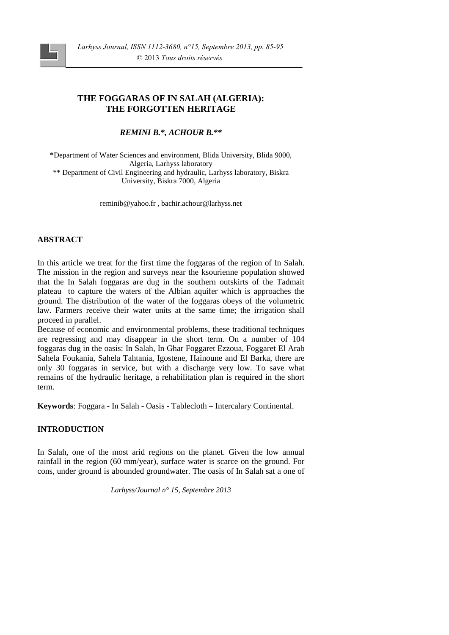# **THE FOGGARAS OF IN SALAH (ALGERIA): THE FORGOTTEN HERITAGE**

*REMINI B.\*, ACHOUR B.\*\**

**\***Department of Water Sciences and environment, Blida University, Blida 9000, Algeria, Larhyss laboratory \*\* Department of Civil Engineering and hydraulic, Larhyss laboratory, Biskra University, Biskra 7000, Algeria

reminib@yahoo.fr , bachir.achour@larhyss.net

## **ABSTRACT**

In this article we treat for the first time the foggaras of the region of In Salah. The mission in the region and surveys near the ksourienne population showed that the In Salah foggaras are dug in the southern outskirts of the Tadmait plateau to capture the waters of the Albian aquifer which is approaches the ground. The distribution of the water of the foggaras obeys of the volumetric law. Farmers receive their water units at the same time; the irrigation shall proceed in parallel.

Because of economic and environmental problems, these traditional techniques are regressing and may disappear in the short term. On a number of 104 foggaras dug in the oasis: In Salah, In Ghar Foggaret Ezzoua, Foggaret El Arab Sahela Foukania, Sahela Tahtania, Igostene, Hainoune and El Barka, there are only 30 foggaras in service, but with a discharge very low. To save what remains of the hydraulic heritage, a rehabilitation plan is required in the short term.

**Keywords**: Foggara - In Salah - Oasis - Tablecloth – Intercalary Continental.

## **INTRODUCTION**

In Salah, one of the most arid regions on the planet. Given the low annual rainfall in the region (60 mm/year), surface water is scarce on the ground. For cons, under ground is abounded groundwater. The oasis of In Salah sat a one of

*Larhyss/Journal n° 15, Septembre 2013*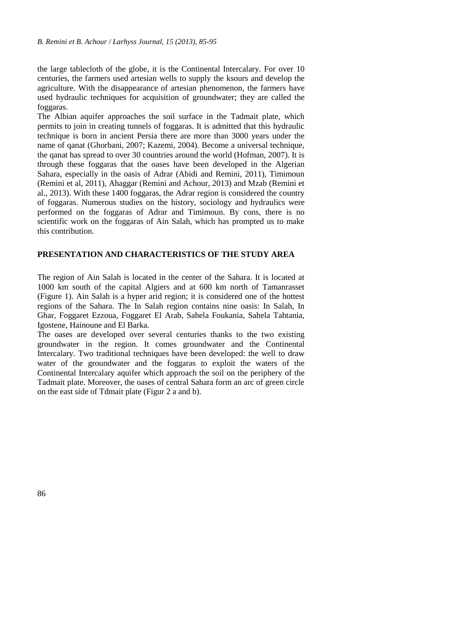the large tablecloth of the globe, it is the Continental Intercalary. For over 10 centuries, the farmers used artesian wells to supply the ksours and develop the agriculture. With the disappearance of artesian phenomenon, the farmers have used hydraulic techniques for acquisition of groundwater; they are called the foggaras.

The Albian aquifer approaches the soil surface in the Tadmait plate, which permits to join in creating tunnels of foggaras. It is admitted that this hydraulic technique is born in ancient Persia there are more than 3000 years under the name of qanat (Ghorbani, 2007; Kazemi, 2004). Become a universal technique, the qanat has spread to over 30 countries around the world (Hofman, 2007). It is through these foggaras that the oases have been developed in the Algerian Sahara, especially in the oasis of Adrar (Abidi and Remini, 2011), Timimoun (Remini et al, 2011), Ahaggar (Remini and Achour, 2013) and Mzab (Remini et al., 2013). With these 1400 foggaras, the Adrar region is considered the country of foggaras. Numerous studies on the history, sociology and hydraulics were performed on the foggaras of Adrar and Timimoun. By cons, there is no scientific work on the foggaras of Ain Salah, which has prompted us to make this contribution.

#### **PRESENTATION AND CHARACTERISTICS OF THE STUDY AREA**

The region of Ain Salah is located in the center of the Sahara. It is located at 1000 km south of the capital Algiers and at 600 km north of Tamanrasset (Figure 1). Ain Salah is a hyper arid region; it is considered one of the hottest regions of the Sahara. The In Salah region contains nine oasis: In Salah, In Ghar, Foggaret Ezzoua, Foggaret El Arab, Sahela Foukania, Sahela Tahtania, Igostene, Hainoune and El Barka.

The oases are developed over several centuries thanks to the two existing groundwater in the region. It comes groundwater and the Continental Intercalary. Two traditional techniques have been developed: the well to draw water of the groundwater and the foggaras to exploit the waters of the Continental Intercalary aquifer which approach the soil on the periphery of the Tadmait plate. Moreover, the oases of central Sahara form an arc of green circle on the east side of Tdmait plate (Figur 2 a and b).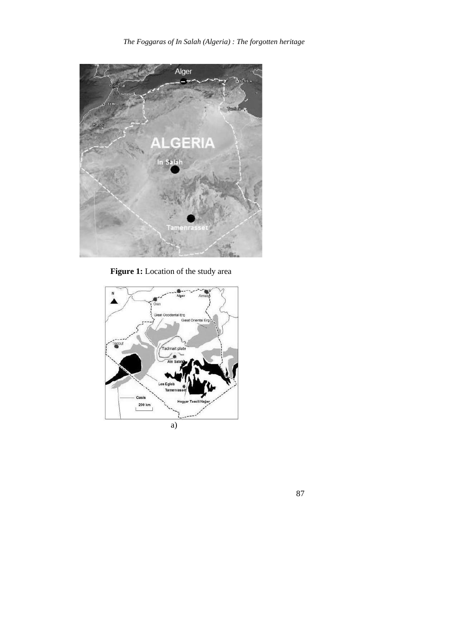

**Figure 1:** Location of the study area



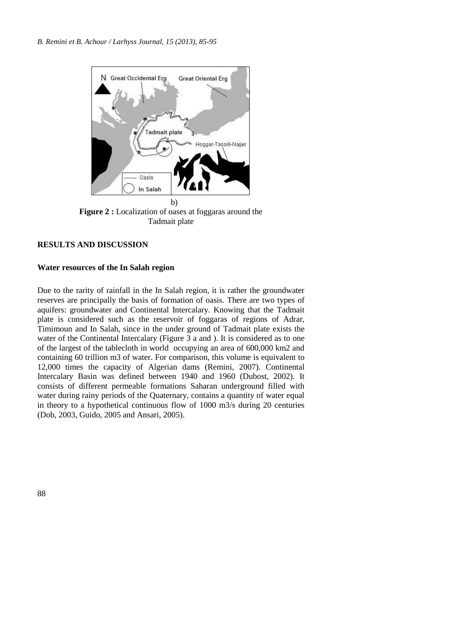

**Figure 2 :** Localization of oases at foggaras around the Tadmait plate

### **RESULTS AND DISCUSSION**

### **Water resources of the In Salah region**

Due to the rarity of rainfall in the In Salah region, it is rather the groundwater reserves are principally the basis of formation of oasis. There are two types of aquifers: groundwater and Continental Intercalary. Knowing that the Tadmait plate is considered such as the reservoir of foggaras of regions of Adrar, Timimoun and In Salah, since in the under ground of Tadmait plate exists the water of the Continental Intercalary (Figure 3 a and ). It is considered as to one of the largest of the tablecloth in world occupying an area of 600,000 km2 and containing 60 trillion m3 of water. For comparison, this volume is equivalent to 12,000 times the capacity of Algerian dams (Remini, 2007). Continental Intercalary Basin was defined between 1940 and 1960 (Dubost, 2002). It consists of different permeable formations Saharan underground filled with water during rainy periods of the Quaternary, contains a quantity of water equal in theory to a hypothetical continuous flow of 1000 m3/s during 20 centuries (Dob, 2003, Guido, 2005 and Ansari, 2005).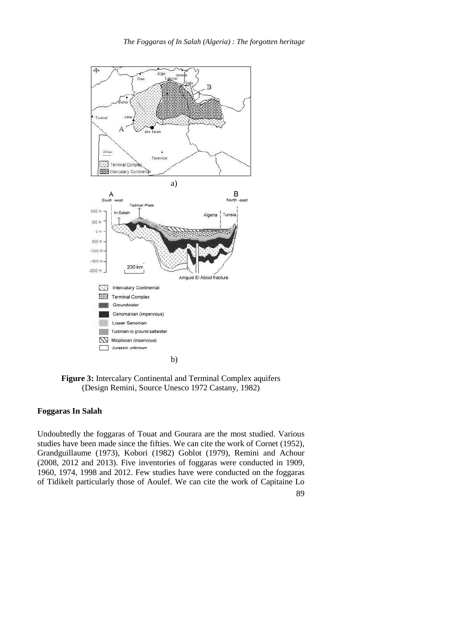

**Figure 3:** Intercalary Continental and Terminal Complex aquifers (Design Remini, Source Unesco 1972 Castany, 1982)

## **Foggaras In Salah**

Undoubtedly the foggaras of Touat and Gourara are the most studied. Various studies have been made since the fifties. We can cite the work of Cornet (1952), Grandguillaume (1973), Kobori (1982) Goblot (1979), Remini and Achour (2008, 2012 and 2013). Five inventories of foggaras were conducted in 1909, 1960, 1974, 1998 and 2012. Few studies have were conducted on the foggaras of Tidikelt particularly those of Aoulef. We can cite the work of Capitaine Lo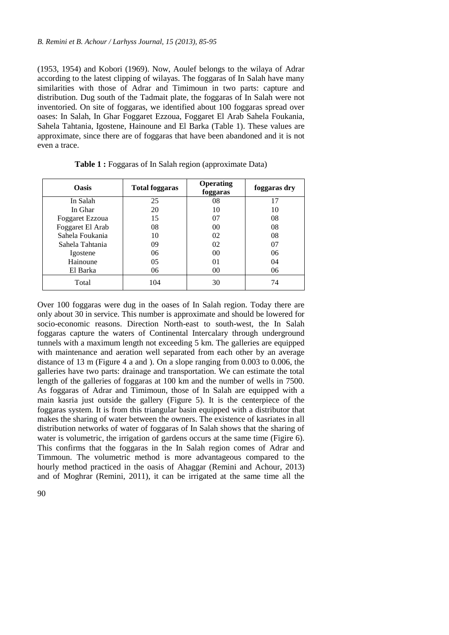(1953, 1954) and Kobori (1969). Now, Aoulef belongs to the wilaya of Adrar according to the latest clipping of wilayas. The foggaras of In Salah have many similarities with those of Adrar and Timimoun in two parts: capture and distribution. Dug south of the Tadmait plate, the foggaras of In Salah were not inventoried. On site of foggaras, we identified about 100 foggaras spread over oases: In Salah, In Ghar Foggaret Ezzoua, Foggaret El Arab Sahela Foukania, Sahela Tahtania, Igostene, Hainoune and El Barka (Table 1). These values are approximate, since there are of foggaras that have been abandoned and it is not even a trace.

| <b>Oasis</b>     | <b>Total foggaras</b> | <b>Operating</b><br>foggaras | foggaras dry |
|------------------|-----------------------|------------------------------|--------------|
| In Salah         | 25                    | 08                           | 17           |
| In Ghar          | 20                    | 10                           | 10           |
| Foggaret Ezzoua  | 15                    | 07                           | 08           |
| Foggaret El Arab | 08                    | 00                           | 08           |
| Sahela Foukania  | 10                    | 02                           | 08           |
| Sahela Tahtania  | 09                    | 02                           | 07           |
| Igostene         | 06                    | 00                           | 06           |
| Hainoune         | 05                    | 01                           | 04           |
| El Barka         | 06                    | 00                           | 06           |
| Total            | 104                   | 30                           | 74           |

**Table 1 :** Foggaras of In Salah region (approximate Data)

Over 100 foggaras were dug in the oases of In Salah region. Today there are only about 30 in service. This number is approximate and should be lowered for socio-economic reasons. Direction North-east to south-west, the In Salah foggaras capture the waters of Continental Intercalary through underground tunnels with a maximum length not exceeding 5 km. The galleries are equipped with maintenance and aeration well separated from each other by an average distance of 13 m (Figure 4 a and ). On a slope ranging from 0.003 to 0.006, the galleries have two parts: drainage and transportation. We can estimate the total length of the galleries of foggaras at 100 km and the number of wells in 7500. As foggaras of Adrar and Timimoun, those of In Salah are equipped with a main kasria just outside the gallery (Figure 5). It is the centerpiece of the foggaras system. It is from this triangular basin equipped with a distributor that makes the sharing of water between the owners. The existence of kasriates in all distribution networks of water of foggaras of In Salah shows that the sharing of water is volumetric, the irrigation of gardens occurs at the same time (Figire 6). This confirms that the foggaras in the In Salah region comes of Adrar and Timmoun. The volumetric method is more advantageous compared to the hourly method practiced in the oasis of Ahaggar (Remini and Achour, 2013) and of Moghrar (Remini, 2011), it can be irrigated at the same time all the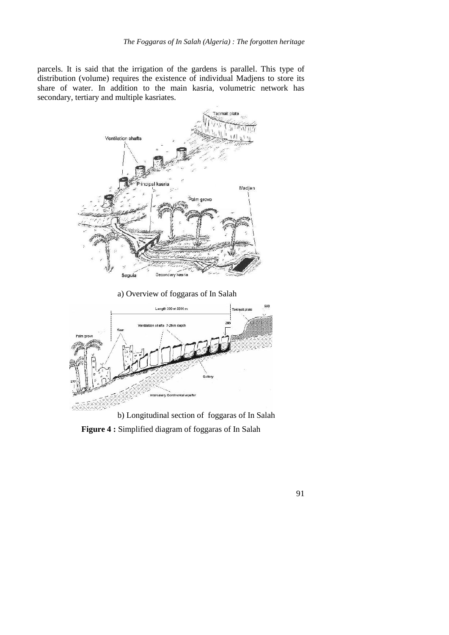parcels. It is said that the irrigation of the gardens is parallel. This type of distribution (volume) requires the existence of individual Madjens to store its share of water. In addition to the main kasria, volumetric network has secondary, tertiary and multiple kasriates.



a) Overview of foggaras of In Salah



b) Longitudinal section of foggaras of In Salah **Figure 4 :** Simplified diagram of foggaras of In Salah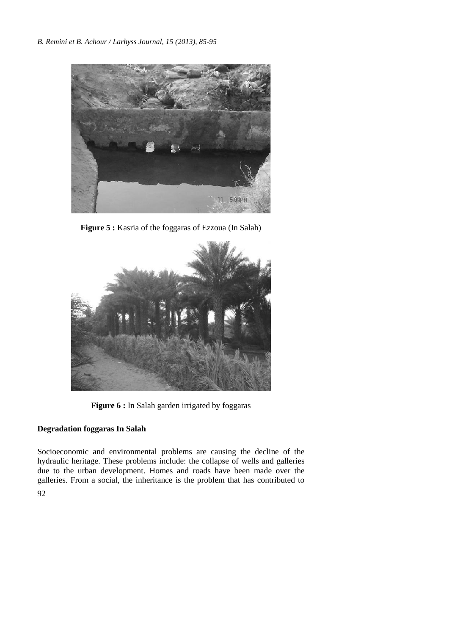

**Figure 5 :** Kasria of the foggaras of Ezzoua (In Salah)



Figure 6 : In Salah garden irrigated by foggaras

## **Degradation foggaras In Salah**

Socioeconomic and environmental problems are causing the decline of the hydraulic heritage. These problems include: the collapse of wells and galleries due to the urban development. Homes and roads have been made over the galleries. From a social, the inheritance is the problem that has contributed to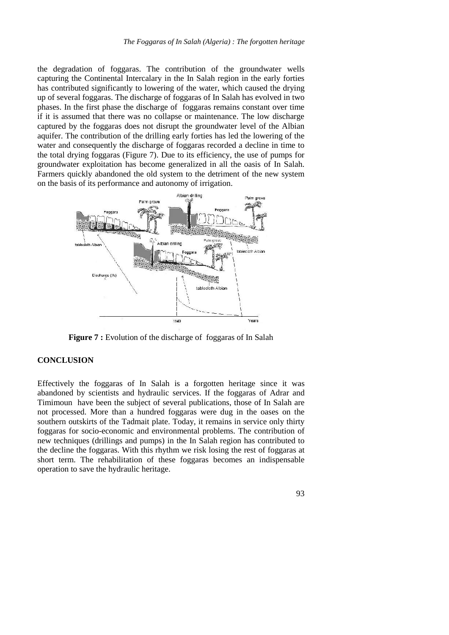the degradation of foggaras. The contribution of the groundwater wells capturing the Continental Intercalary in the In Salah region in the early forties has contributed significantly to lowering of the water, which caused the drying up of several foggaras. The discharge of foggaras of In Salah has evolved in two phases. In the first phase the discharge of foggaras remains constant over time if it is assumed that there was no collapse or maintenance. The low discharge captured by the foggaras does not disrupt the groundwater level of the Albian aquifer. The contribution of the drilling early forties has led the lowering of the water and consequently the discharge of foggaras recorded a decline in time to the total drying foggaras (Figure 7).Due to its efficiency, the use of pumps for groundwater exploitation has become generalized in all the oasis of In Salah. Farmers quickly abandoned the old system to the detriment of the new system on the basis of its performance and autonomy of irrigation.



**Figure 7 :** Evolution of the discharge of foggaras of In Salah

#### **CONCLUSION**

Effectively the foggaras of In Salah is a forgotten heritage since it was abandoned by scientists and hydraulic services. If the foggaras of Adrar and Timimoun have been the subject of several publications, those of In Salah are not processed. More than a hundred foggaras were dug in the oases on the southern outskirts of the Tadmait plate. Today, it remains in service only thirty foggaras for socio-economic and environmental problems. The contribution of new techniques (drillings and pumps) in the In Salah region has contributed to the decline the foggaras. With this rhythm we risk losing the rest of foggaras at short term. The rehabilitation of these foggaras becomes an indispensable operation to save the hydraulic heritage.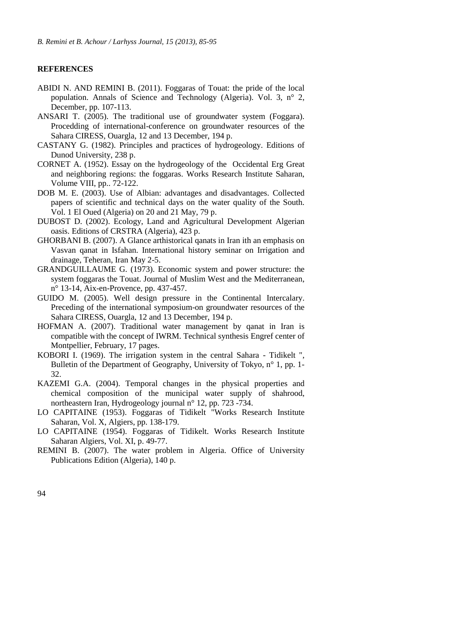#### **REFERENCES**

- ABIDI N. AND REMINI B. (2011). Foggaras of Touat: the pride of the local population. Annals of Science and Technology (Algeria). Vol. 3, n° 2, December, pp. 107-113.
- ANSARI T. (2005). The traditional use of groundwater system (Foggara). Procedding of international-conference on groundwater resources of the Sahara CIRESS, Ouargla, 12 and 13 December, 194 p.
- CASTANY G. (1982). Principles and practices of hydrogeology. Editions of Dunod University, 238 p.
- CORNET A. (1952). Essay on the hydrogeology of the Occidental Erg Great and neighboring regions: the foggaras. Works Research Institute Saharan, Volume VIII, pp.. 72-122.
- DOB M. E. (2003). Use of Albian: advantages and disadvantages. Collected papers of scientific and technical days on the water quality of the South. Vol. 1 El Oued (Algeria) on 20 and 21 May, 79 p.
- DUBOST D. (2002). Ecology, Land and Agricultural Development Algerian oasis. Editions of CRSTRA (Algeria), 423 p.
- GHORBANI B. (2007). A Glance arthistorical qanats in Iran ith an emphasis on Vasvan qanat in Isfahan. International history seminar on Irrigation and drainage, Teheran, Iran May 2-5.
- GRANDGUILLAUME G. (1973). Economic system and power structure: the system foggaras the Touat. Journal of Muslim West and the Mediterranean, n° 13-14, Aix-en-Provence, pp. 437-457.
- GUIDO M. (2005). Well design pressure in the Continental Intercalary. Preceding of the international symposium-on groundwater resources of the Sahara CIRESS, Ouargla, 12 and 13 December, 194 p.
- HOFMAN A. (2007). Traditional water management by qanat in Iran is compatible with the concept of IWRM. Technical synthesis Engref center of Montpellier, February, 17 pages.
- KOBORI I. (1969). The irrigation system in the central Sahara Tidikelt ", Bulletin of the Department of Geography, University of Tokyo, n° 1, pp. 1-32.
- KAZEMI G.A. (2004). Temporal changes in the physical properties and chemical composition of the municipal water supply of shahrood, northeastern Iran, Hydrogeology journal n° 12, pp. 723 -734.
- LO CAPITAINE (1953). Foggaras of Tidikelt "Works Research Institute Saharan, Vol. X, Algiers, pp. 138-179.
- LO CAPITAINE (1954). Foggaras of Tidikelt. Works Research Institute Saharan Algiers, Vol. XI, p. 49-77.
- REMINI B. (2007). The water problem in Algeria. Office of University Publications Edition (Algeria), 140 p.